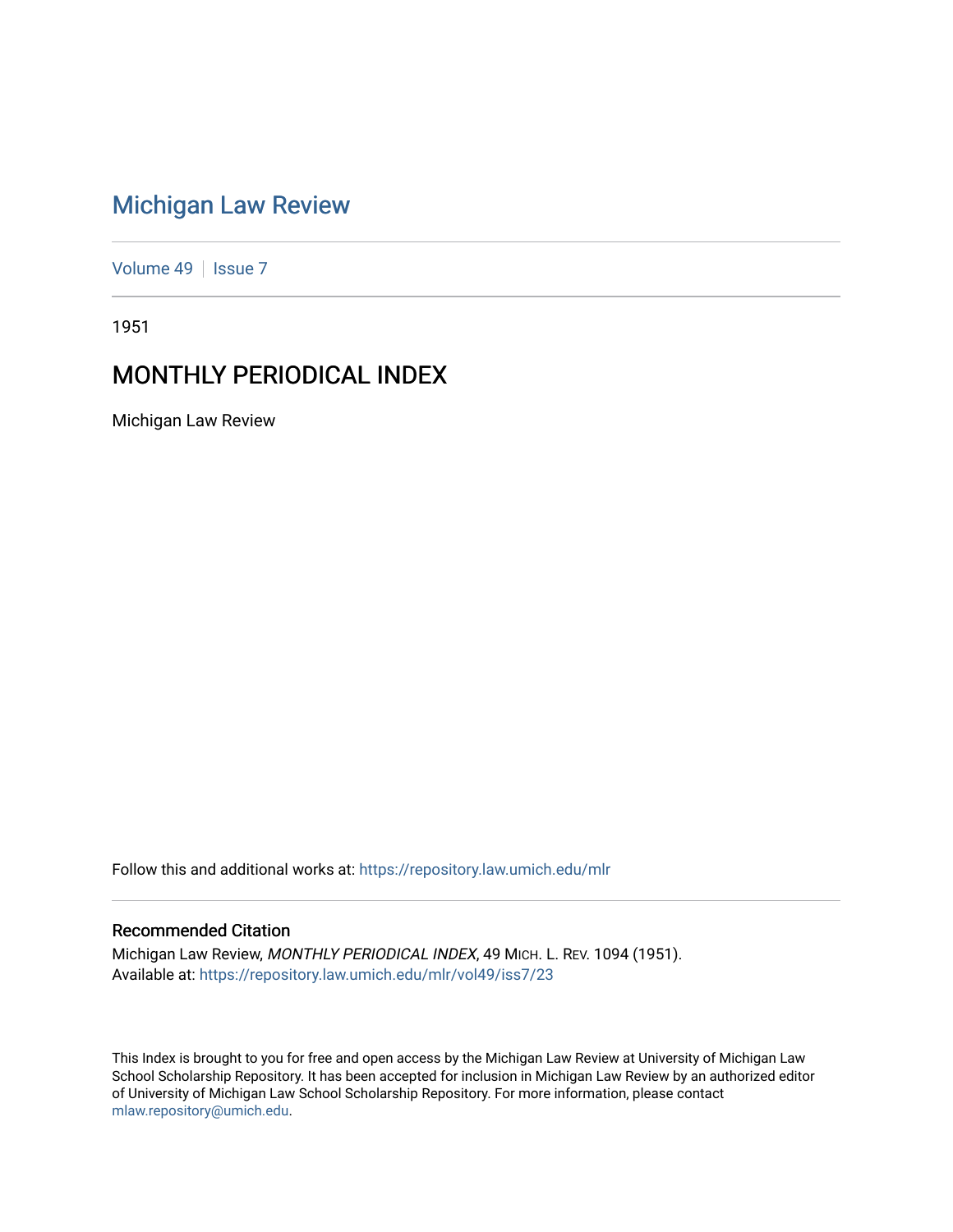# [Michigan Law Review](https://repository.law.umich.edu/mlr)

[Volume 49](https://repository.law.umich.edu/mlr/vol49) | [Issue 7](https://repository.law.umich.edu/mlr/vol49/iss7)

1951

# MONTHLY PERIODICAL INDEX

Michigan Law Review

Follow this and additional works at: [https://repository.law.umich.edu/mlr](https://repository.law.umich.edu/mlr?utm_source=repository.law.umich.edu%2Fmlr%2Fvol49%2Fiss7%2F23&utm_medium=PDF&utm_campaign=PDFCoverPages) 

### Recommended Citation

Michigan Law Review, MONTHLY PERIODICAL INDEX, 49 MICH. L. REV. 1094 (1951). Available at: [https://repository.law.umich.edu/mlr/vol49/iss7/23](https://repository.law.umich.edu/mlr/vol49/iss7/23?utm_source=repository.law.umich.edu%2Fmlr%2Fvol49%2Fiss7%2F23&utm_medium=PDF&utm_campaign=PDFCoverPages) 

This Index is brought to you for free and open access by the Michigan Law Review at University of Michigan Law School Scholarship Repository. It has been accepted for inclusion in Michigan Law Review by an authorized editor of University of Michigan Law School Scholarship Repository. For more information, please contact [mlaw.repository@umich.edu.](mailto:mlaw.repository@umich.edu)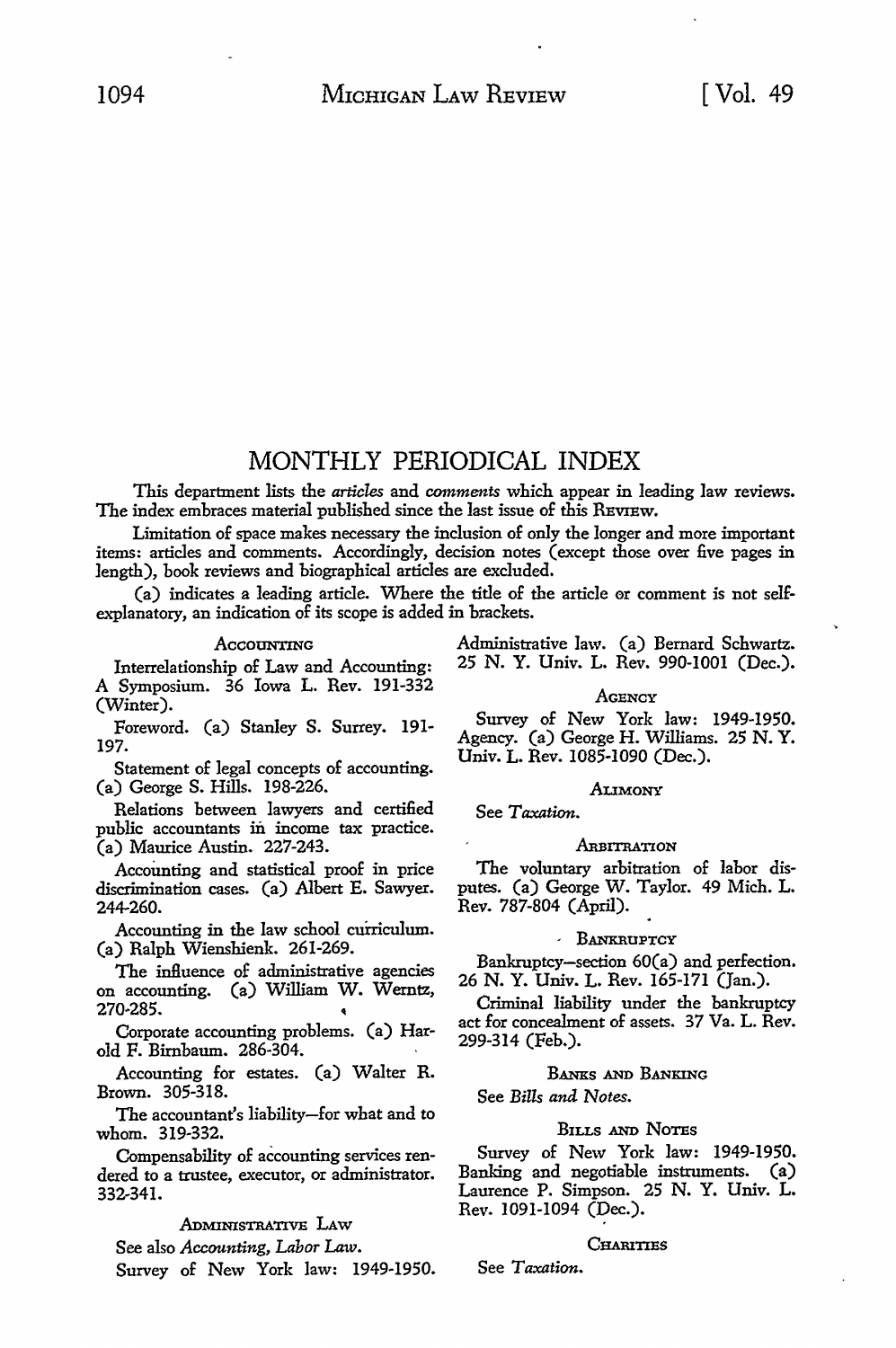## MONTHLY PERIODICAL INDEX

This department lists the *articles* and *comments* which appear in leading law reviews. The index embraces material published since the last issue of this REVIEW.

Limitation of space makes necessary the inclusion of only the longer and more important items: articles and comments. Accordingly, decision notes (except those over five pages in length), book reviews and biographical articles are excluded.

(a) indicates a leading article. Where the title of the article er comment is not selfexplanatory, an indication of its scope is added in brackets.

Interrelationship of Law and Accounting: **A** Symposium. 36 Iowa L. Rev. 191-332 (Winter).

Foreword. (a) Stanley S. Surrey. 191- 197.

Statement of legal concepts of accounting. (a) George S. Hills. 198-226.

Relations between lawyers and certified public accountants in income tax practice. (a) Maurice Austin. 227-243.

Accounting and statistical proof in price discrimination cases. (a) Albert E. Sawyer. 244-260.

Accounting in the law school curriculum. (a) Ralph Wienshienk. 261-269.

The influence of administrative agencies on accounting. (a) William W. Werntz, 270-285.

Corporate accounting problems. (a) Harold F. Birnbaum. 286-304.

Accounting for estates. (a) Walter R. Brown. 305-318.

The accountant's liability-for what and to whom. 319-332.

Compensability of accounting services rendered to a trustee, executor, or administrator. 332-341.

ADMINISTRATIVE LAW

See also *Accounting, Labor* Law. Survey of New York law: 1949-1950.

Accounting and Administrative law. (a) Bernard Schwartz.<br>hin of Law and Accounting: 25 N. Y. Univ. L. Rev. 990-1001 (Dec.).

#### **AGENCY**

Survey of New York law: 1949-1950. Agency. (a) George H. Williams. 25 **N. Y.**  Univ. L. Rev. 1085-1090 (Dec.).

#### **ALIMONY**

See *Taxation.* 

#### ARBITRATION

The voluntary arbitration of labor disputes. (a) George W. Taylor. 49 Mich. L. Rev. 787-804 (April).

#### , BANKRUPTCY

Bankruptcy-section 60(a) and perfection. 26 N. Y. Univ. L. Rev. 165-171 (Jan.).

Criminal liability under the bankruptcy act for concealment of assets. 37 Va. L. Rev. 299-314 (Feb.).

#### BANXs AND BANKING

See *Bills and Notes.* 

#### BILLS AND NOTES

Survey of New York law: 1949-1950. Banking and negotiable instruments. (a) Laurence P. Simpson. 25 N. Y. Univ. L. Rev. 1091-1094 (Dec.).

#### CHARITIES

See *Taxation.*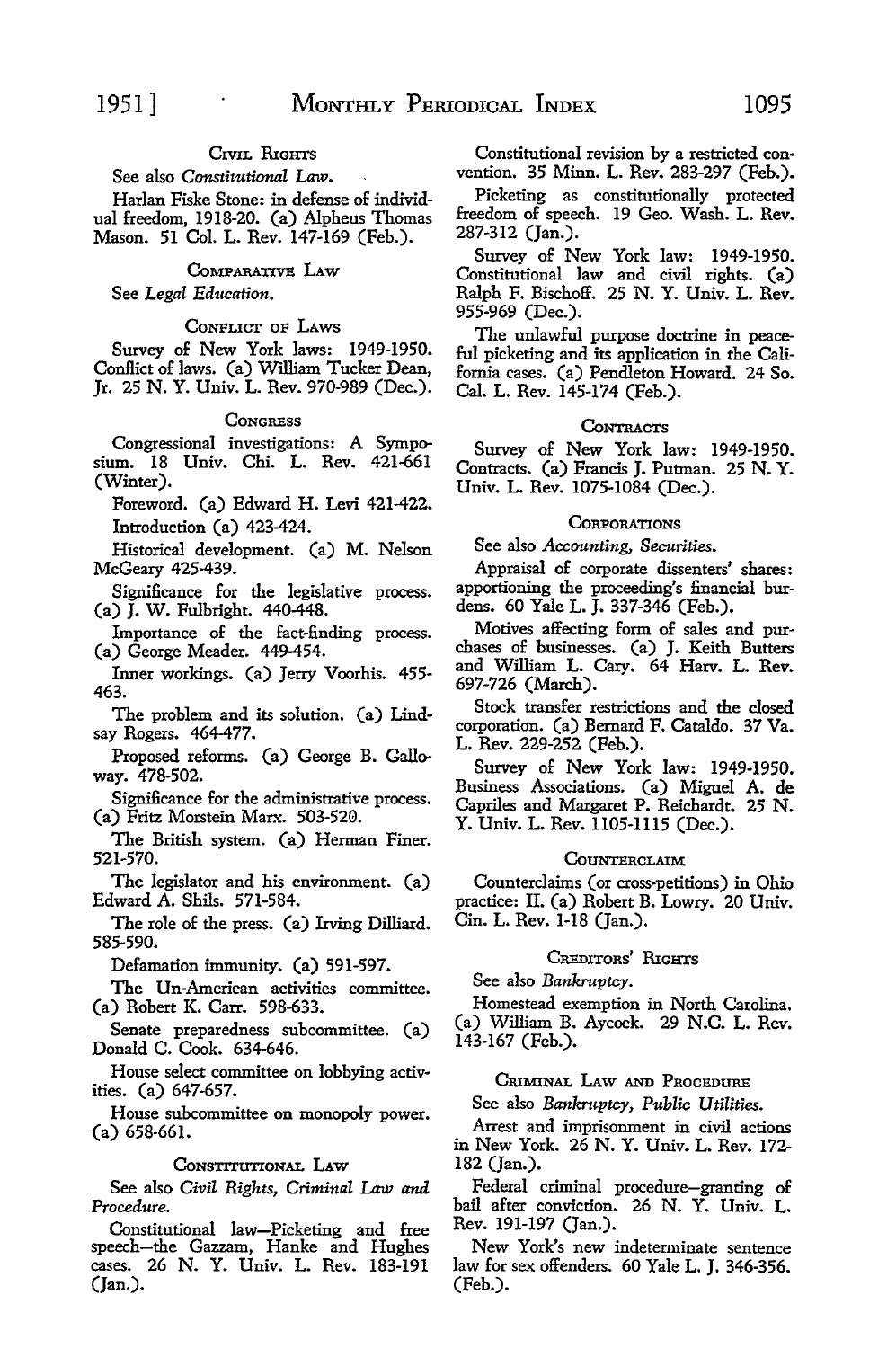### CIVIL RIGHTS

See also *Constitutional* Law.

Harlan Fiske Stone: in defense of individual freedom, 1918-20. (a) Alpheus Thomas Mason. 51 Col. L. Rev. 147-169 (Feb.).

#### CoMPARATIVB LAW

See *Legal Ed11cation.* 

#### CONFLICT OF LAWS

Survey of New York laws: 1949-1950. Conflict of laws. (a) William Tucker Dean, Jr. 25 N. Y. Univ. L. Rev. 970-989 (Dec.).

#### **CONGRESS**

Congressional investigations: A Symposium. 18 Univ. Chi. L. Rev. 421-661 (Winter).

Foreword. (a) Edward H. Levi 421-422. Introduction (a) 423-424.

Historical development. (a) M. Nelson McGeary 425-439.

Significance for the legislative process. (a) J. W. Fulbright. 440-448.

Importance of the fact-finding process. (a) George Meader. 449-454.

Inner workings. (a) Jerry Voorhis. 455- 463.

The problem and its solution. (a) Lindsay Rogers. 464-477.

Proposed reforms. (a) George B. Galloway. 478-502.

Significance for the administrative process. (a) Fritz Morstein Marx. 503-520.

The British system. (a) Herman Finer. 521-570.

The legislator and his environment. (a) Edward A. Shils. 571-584.

The role of the press. (a) Irving Dilliard. 585-590.

Defamation immunity. (a) 591-597.

The Un-American activities committee. (a) Robert K. Carr. 598-633.

Senate preparedness subcommittee. (a) Donald C. Cook. 634-646.

House select committee on lobbying activities. (a) 647-657.

House subcommittee on monopoly power. (a) 658-661.

#### CONSTITUTIONAL LAW

See also *Civil Rights, Criminal* Law *and Procedure.* 

Constitutional law-Picketing and free speech-the Gazzam, Hanke and Hughes cases. 26 N. Y. Univ. L. Rev. 183-191 (Jan.).

Constitutional revision by a restricted convention. 35 Minn. L. Rev. 283-297 (Feb.).

Picketing as constitutionally protected freedom of speech. 19 Geo. Wash. L. Rev. 287-312 (Jan.).

Survey of New York law: 1949-1950. Constitutional law and civil rights. (a) Ralph F. Bischoff. 25 N. Y. Univ. L. Rev. 955-969 (Dec.).

The unlawful purpose doctrine in peaceful picketing and its application in the California cases. (a) Pendleton Howard. 24 So. Cal. L. Rev. 145-174 (Feb.).

#### **CONTRACTS**

Survey of New York law: 1949-1950. Contracts. (a) Francis J. Putman. 25 N. Y. Univ. L. Rev. 1075-1084 (Dec.).

#### **CORPORATIONS**

See also *Accounting, Secttrities.* 

Appraisal of corporate dissenters' shares: apportioning the proceeding's financial burdens. 60 Yale L. J. 337-346 (Feb.).

Motives affecting form of sales and purchases of businesses. (a) J. Keith Butters and William L. Cary. 64 Harv. L. Rev. 697-726 (March).

Stock transfer restrictions and the closed corporation. (a) Bernard F. Cataldo. 37 Va. L. Rev. 229-252 (Feb.).

Survey of New York law: 1949-1950. Business Associations. (a) Miguel A. de Capriles and Margaret P. Reichardt. 25 N. Y. Univ. L. Rev. 1105-1115 (Dec.).

#### **COUNTERCLAIM**

Counterclaims (or cross-petitions) in Ohio practice: II. (a) Robert B. Lowry. 20 Univ. Cin. L. Rev. 1-18 (Jan.).

#### CREDITORS' RIGHTS

See also *Bankruptcy.* 

Homestead exemption in North Carolina. (a) William B. Aycock. 29 N.C. L. Rev. 143-167 (Feb.).

#### CRIMINAL LAW AND PROCEDURE

See also *Bankruptcy, Public Utilities.* 

Arrest and imprisonment in civil actions in New York. 26 N. Y. Univ. L. Rev. 172- 182 (Jan.).

Federal criminal procedure-granting of bail after conviction. 26 N. Y. Univ. L. Rev. 191-197 (Jan.).

New York's new indeterminate sentence law for sex offenders. 60 Yale L. J. 346-356. (Feb.).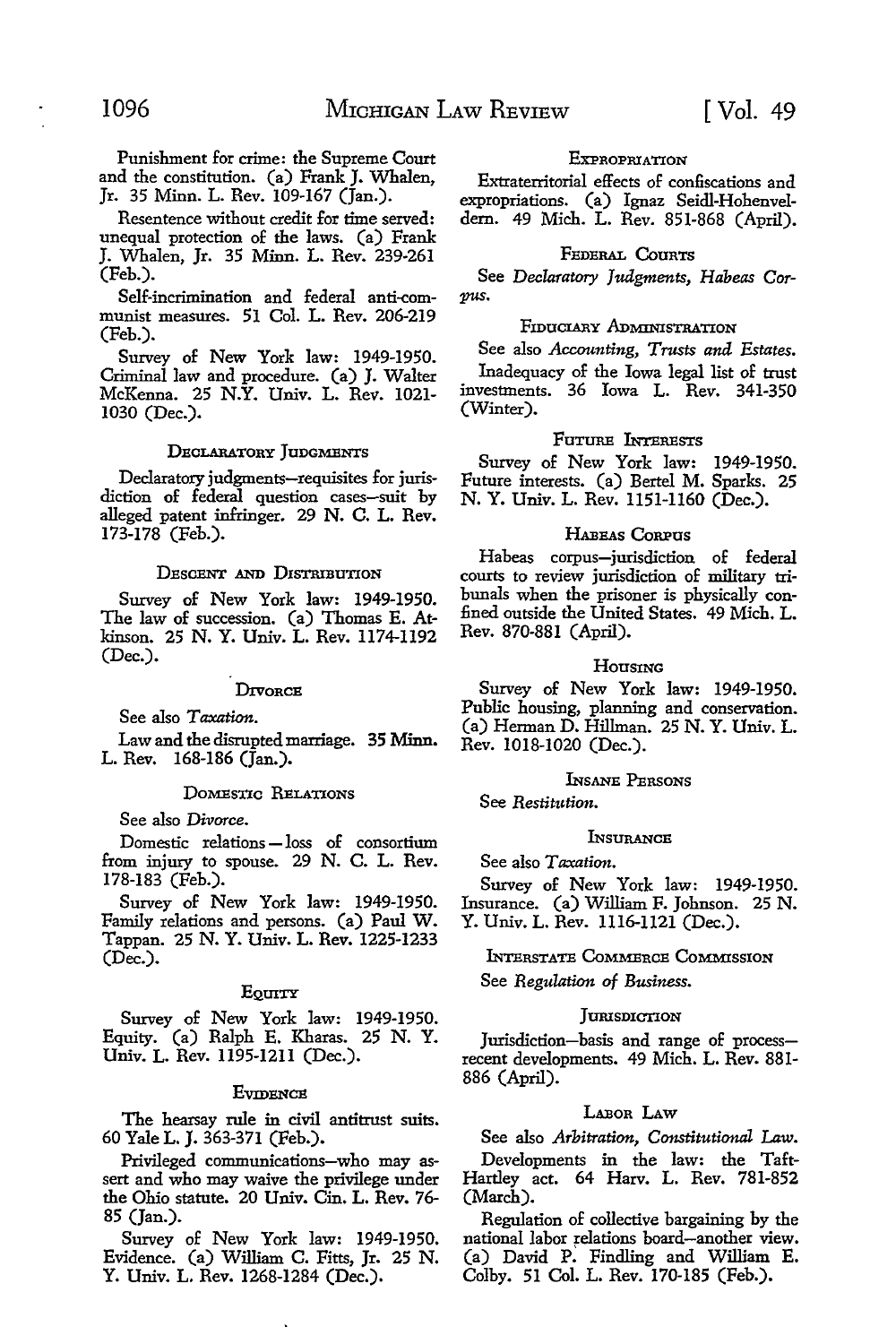Punishment for crime: the Supreme Court and the constitution. (a) Frank J. Whalen, Jr. 35 Minn. L. Rev. 109-167 (Jan.).

Resentence without credit for time served: unequal protection of the laws. (a) Frank J. Whalen, Jr. 35 Minn. L. Rev. 239-261 (Feb.).

Self-incrimination and federal anti-communist measures. 51 Col. L. Rev. 206-219 (Feb.).

Survey of New York law: 1949-1950. Criminal law and procedure. (a) J. Walter McKenna. 25 **N.Y.** Univ. L. Rev. 1021- 1030 (Dec.).

#### DECLARATORY JUDGMENTS

Declaratory judgments-requisites for jurisdiction of federal question cases-suit by alleged patent infringer. 29 N. C. L. Rev. 173-178 (Feb.).

#### DESCENT AND DISTRIBUTION

Survey of New York law: 1949-1950. The law of succession. (a) Thomas E. Atkinson. 25 N. Y. Univ. L. Rev. 1174-1192 (Dec.).

#### **DIVORCE**

See also *Taxation.* 

Law and the disrupted marriage. 35 Minn. L. Rev. 168-186 (Jan.).

#### DOMESTIC RELATIONS

#### See also *Divorce.*

Domestic relations - loss of consortium from injury to spouse. 29 N. C. L. Rev. 178-183 (Feb.).

Survey of New York law: 1949-1950. Family relations and persons. (a) Paul W. Tappan. 25 N. Y. Univ. L. Rev. 1225-1233 (Dec.).

#### EQUITY

Survey of New York law: 1949-1950. Equity. (a) Ralph E. Kharas. 25 N. Y. Univ. L. Rev. 1195-1211 (Dec.).

#### **EVIDENCE**

The hearsay rule in civil antitrust suits. 60 Yale L. J. 363-371 (Feb.).

Privileged communications-who may assert and who may waive the privilege under the Ohio statute. 20 Univ. Cin. L. Rev. 76- 85 (Jan.).

Survey of New York law: 1949-1950. Evidence. (a) William C. Fitts, Jr. 25 N. Y. Univ. L. Rev. 1268-1284 (Dec.).

#### **EXPROPRIATION**

Extraterritorial effects of confiscations and expropriations. (a) Ignaz Seidl-Hohenveldem. 49 Mich. L. Rev. 851-868 (April).

#### FEDERAL CouRTS

See *Declaratory Judgments, Habeas Corpus.* 

#### FIDUCIARY ADMINISTRATION

See also *Accounting, Trusts and Estates.*  Inadequacy of the Iowa legal list of trust

investments. 36 Iowa L. Rev. 341-350 (Winter).

#### FuTIIRE INTERESTS

Survey of New York law: 1949-1950. Future interests. (a) Bertel M. Sparks. 25 N. Y. Univ. L. Rev. 1151-1160 (Dec.).

#### HABEAS CoRPUS

Habeas corpus-jurisdiction of federal courts to review jurisdiction of military tribunals when the prisoner is physically con fined outside the United States. 49 Mich. L. Rev. 870-881 (April).

#### HOUSING

Survey of New York law: 1949-1950. Public housing, planning and conservation. (a) Herman D. Hillman. 25 N. Y. Univ. L. Rev. 1018-1020 (Dec.).

#### INSANE PERSONS

See *Restitution.* 

#### INSURANCE

See also *Taxation.* 

Survey of New York law: 1949-1950. Insurance. (a) William F. Johnson. 25 N. Y. Univ. L. Rev. 1116-1121 (Dec.).

INTERSTATE CoMMERCE COMMISSION See *Regulation of Business.* 

#### **JURISDICTION**

Jurisdiction-basis and range of processrecent developments. 49 Mich. L. Rev. 881- 886 (April).

#### LABoR LAW

See also *Arbitration, Constitutional* Law.

Developments in the law: the Taft-Hartley act. 64 Harv. L. Rev. 781-852 (March).

Regulation of collective bargaining by the national labor relations board-another view. (a) David P: Findling and William E. Colby. 51 Col. L. Rev. 170-185 (Feb.).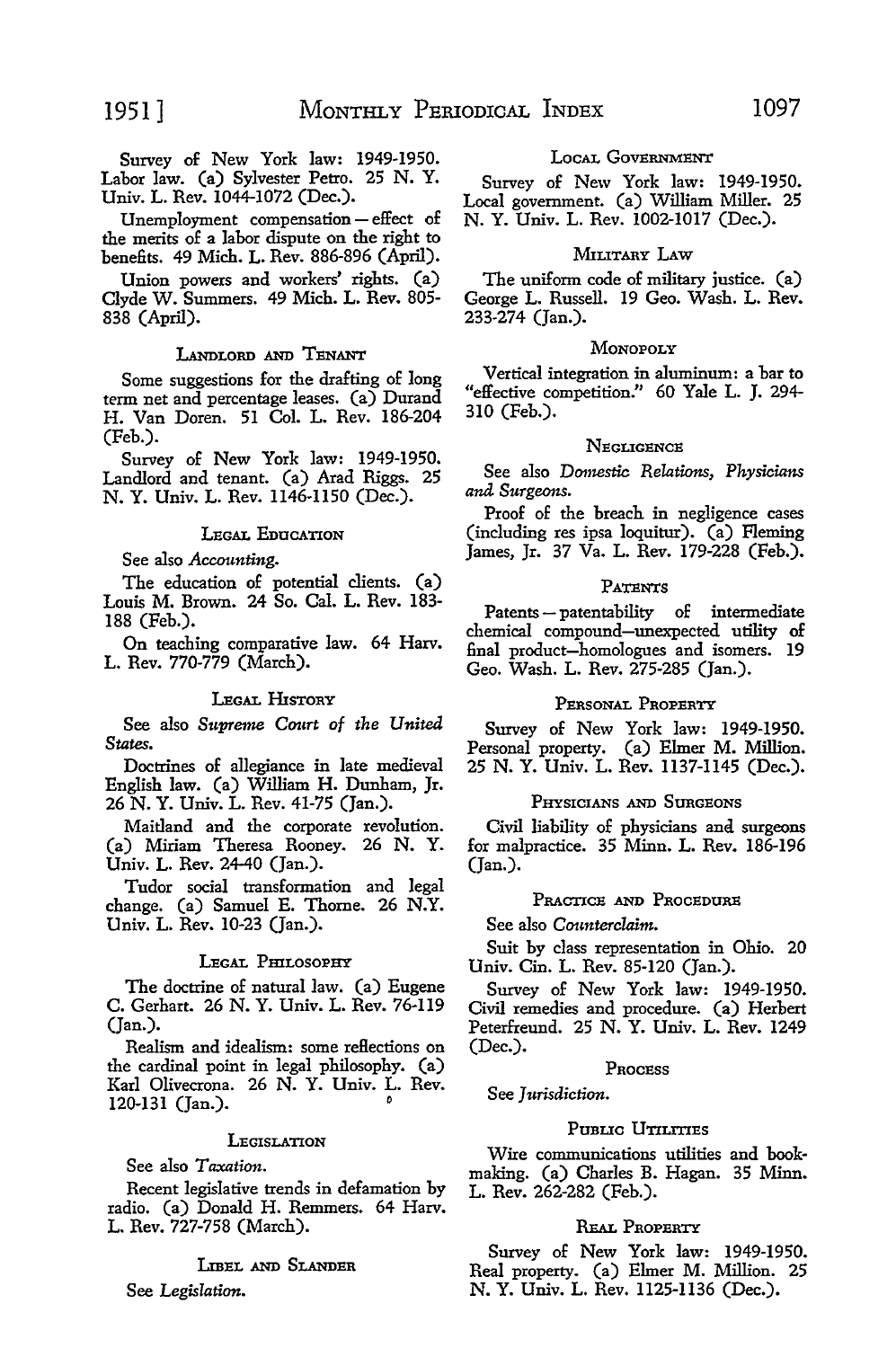Survey of New York law: 1949-1950. Labor law. (a) Sylvester Petro. 25 N. Y. Univ. L. Rev. 1044-1072 (Dec.).

Unemployment compensation - effect of the merits of a labor dispute on the right to benefits. 49 Mich. L. Rev. 886-896 (April).

Union powers and workers' rights. (a) Clyde W. Summers. 49 Mich. L. Rev. 805- 838 (April).

#### LANDLORD AND TENANT

Some suggestions for the drafting of long term net and percentage leases. (a) Durand H. Van Doren. 51 Col. L. Rev. 186-204 (Feb.).

Survey of New York law: 1949-1950. Landlord and tenant. (a) Arad Riggs. 25 N. Y. Univ. L. Rev. 1146-1150 (Dec.).

#### LEGAL EDUCATION

### See also *Accounting.*

The education of potential clients. (a) Louis M. Brown. 24 So. Cal. L. Rev. 183- 188 (Feb.).

On teaching comparative law. 64 Harv. L. Rev. 770-779 (March).

#### LEGAL HISTORY

See also *Supreme* Court *of the United States.* 

Doctrines of allegiance in late medieval English law. (a) William H. Dunham, Jr. 26 N. Y. Univ. L. Rev. 41-75 (Jan.).

Maitland and the corporate revolution. (a) Miriam Theresa Rooney. 26 N. Y. Univ. L. Rev. 24-40 (Jan.).

Tudor social transformation and legal change. (a) Samuel E. Thome. 26 N.Y. Univ. L. Rev. 10-23 (Jan.).

#### LEGAL PHILOSOPHY

The doctrine of natural law. (a) Eugene C. Gerhart. 26 N. Y. Univ. L. Rev. 76-119 (Jan.).

Realism and idealism: some reHections on the cardinal point in legal philosophy. (a) Karl Olivecrona. 26 N. Y. Univ. L. Rev. 120-131 (Jan.).

#### **LEGISLATION**

See also *Taxation.* 

Recent legislative trends in defamation by radio. (a) Donald H. Remmers. 64 Harv. L. Rev. 727-758 (March).

#### LIBEL AND SLANDER

See *Legislation.* 

#### LocAL GovERNMENT

Survey of New York law: 1949-1950. Local government. (a) William Miller. 25 N. Y. Univ. L. Rev. 1002-1017 (Dec.).

#### MILITARY LAw

The uniform code of military justice. (a) George L. Russell. 19 Geo. Wash. L. Rev. 233-274 (Jan.).

#### **MONOPOLY**

Vertical integration in aluminum: a bar to "effective competition." 60 Yale L. J. 294- 310 (Feb.).

#### **NEGLIGENCE**

See also *Domestic Relations, Physicians and Surgeons.* 

Proof of the breach in negligence cases (including res ipsa loquitur). (a) Fleming James, Jr. 37 Va. L. Rev. 179-228 (Feb.).

#### **PATENTS**

Patents - patentability of intermediate chemical compound-unexpected utility of final product-homologues and isomers. 19 Geo. Wash. L. Rev. 275-285 (Jan.).

#### PERSONAL PROPERTY

Survey of New York law: 1949-1950. Personal property. (a) Elmer M. Million. 25 N. Y. Univ. L. Rev. 1137-1145 (Dec.).

#### PHYSICIANS AND SURGEONS

Civil liability of physicians and surgeons for malpractice. 35 Minn. L. Rev. 186-196 (Jan.).

#### PRACTICE AND PROCEDURE

See also *Counterclaim.* 

Suit by class representation in Ohio. 20 Univ. Cin. L. Rev. 85-120 (Jan.).

Survey of New York law: 1949-1950. Civil remedies and procedure. (a) Herbert Peterfreund. 25 N. Y. Univ. L. Rev. 1249 (Dec.).

### PROCESS

#### See *Jurisdiction.*

#### PUBLIC UTILITIES

Wire communications utilities and bookmaking. (a) Charles B. Hagan. 35 Minn. L. Rev. 262-282 (Feb.).

#### REAL PROPERTY

Survey of New York law: 1949-1950. Real property. (a) Elmer M. Million. 25 N. Y. Univ. L. Rev. 1125-1136 (Dec.).